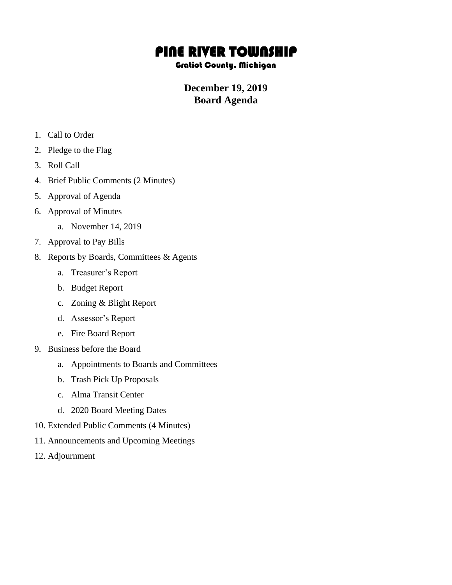## PINE RIVER TOWNSHIP

## Gratiot County, Michigan

## **December 19, 2019 Board Agenda**

- 1. Call to Order
- 2. Pledge to the Flag
- 3. Roll Call
- 4. Brief Public Comments (2 Minutes)
- 5. Approval of Agenda
- 6. Approval of Minutes
	- a. November 14, 2019
- 7. Approval to Pay Bills
- 8. Reports by Boards, Committees & Agents
	- a. Treasurer's Report
	- b. Budget Report
	- c. Zoning & Blight Report
	- d. Assessor's Report
	- e. Fire Board Report
- 9. Business before the Board
	- a. Appointments to Boards and Committees
	- b. Trash Pick Up Proposals
	- c. Alma Transit Center
	- d. 2020 Board Meeting Dates
- 10. Extended Public Comments (4 Minutes)
- 11. Announcements and Upcoming Meetings
- 12. Adjournment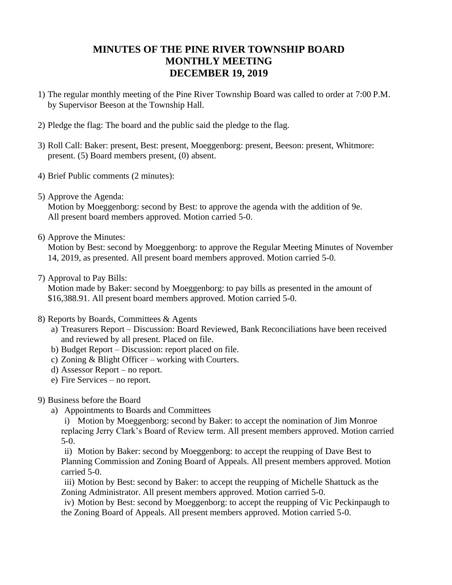## **MINUTES OF THE PINE RIVER TOWNSHIP BOARD MONTHLY MEETING DECEMBER 19, 2019**

- 1) The regular monthly meeting of the Pine River Township Board was called to order at 7:00 P.M. by Supervisor Beeson at the Township Hall.
- 2) Pledge the flag: The board and the public said the pledge to the flag.
- 3) Roll Call: Baker: present, Best: present, Moeggenborg: present, Beeson: present, Whitmore: present. (5) Board members present, (0) absent.
- 4) Brief Public comments (2 minutes):
- 5) Approve the Agenda:

Motion by Moeggenborg: second by Best: to approve the agenda with the addition of 9e. All present board members approved. Motion carried 5-0.

6) Approve the Minutes:

Motion by Best: second by Moeggenborg: to approve the Regular Meeting Minutes of November 14, 2019, as presented. All present board members approved. Motion carried 5-0.

7) Approval to Pay Bills:

Motion made by Baker: second by Moeggenborg: to pay bills as presented in the amount of \$16,388.91. All present board members approved. Motion carried 5-0.

- 8) Reports by Boards, Committees & Agents
	- a) Treasurers Report Discussion: Board Reviewed, Bank Reconciliations have been received and reviewed by all present. Placed on file.
	- b) Budget Report Discussion: report placed on file.
	- c) Zoning & Blight Officer working with Courters.
	- d) Assessor Report no report.
	- e) Fire Services no report.
- 9) Business before the Board
	- a) Appointments to Boards and Committees

i) Motion by Moeggenborg: second by Baker: to accept the nomination of Jim Monroe replacing Jerry Clark's Board of Review term. All present members approved. Motion carried 5-0.

ii) Motion by Baker: second by Moeggenborg: to accept the reupping of Dave Best to Planning Commission and Zoning Board of Appeals. All present members approved. Motion carried 5-0.

iii) Motion by Best: second by Baker: to accept the reupping of Michelle Shattuck as the Zoning Administrator. All present members approved. Motion carried 5-0.

iv) Motion by Best: second by Moeggenborg: to accept the reupping of Vic Peckinpaugh to the Zoning Board of Appeals. All present members approved. Motion carried 5-0.